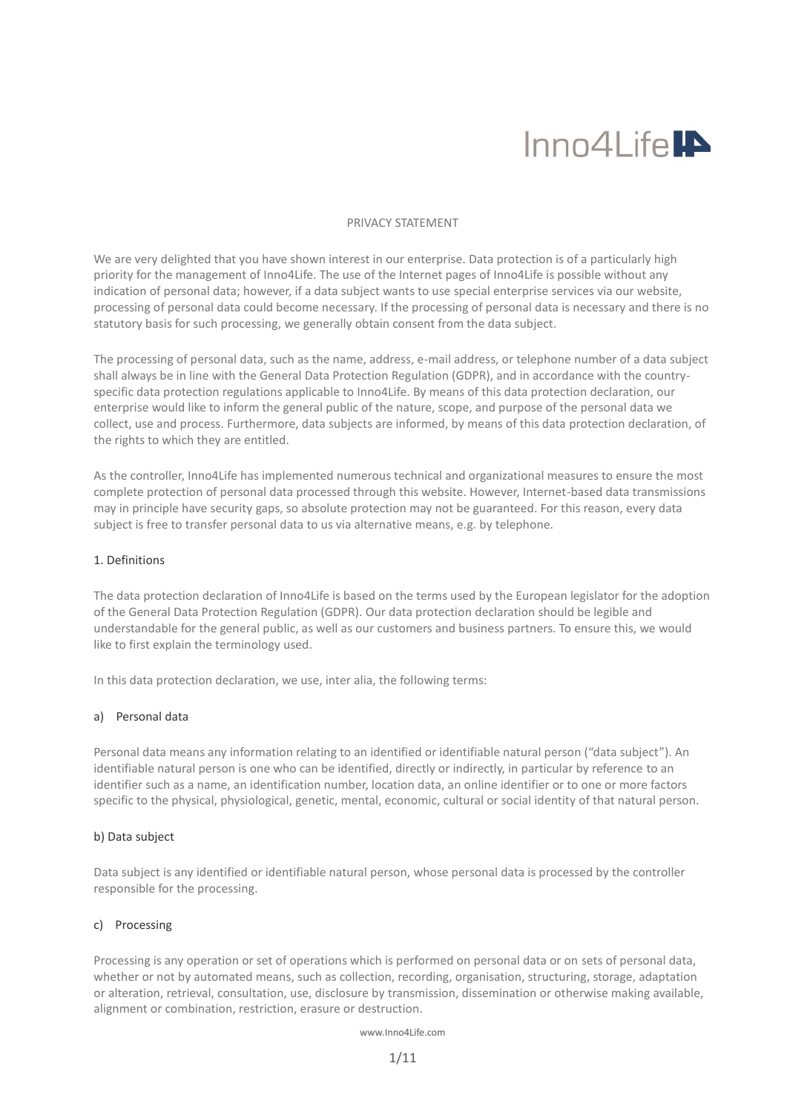#### PRIVACY STATEMENT

We are very delighted that you have shown interest in our enterprise. Data protection is of a particularly high priority for the management of Inno4Life. The use of the Internet pages of Inno4Life is possible without any indication of personal data; however, if a data subject wants to use special enterprise services via our website, processing of personal data could become necessary. If the processing of personal data is necessary and there is no statutory basis for such processing, we generally obtain consent from the data subject.

The processing of personal data, such as the name, address, e-mail address, or telephone number of a data subject shall always be in line with the General Data Protection Regulation (GDPR), and in accordance with the countryspecific data protection regulations applicable to Inno4Life. By means of this data protection declaration, our enterprise would like to inform the general public of the nature, scope, and purpose of the personal data we collect, use and process. Furthermore, data subjects are informed, by means of this data protection declaration, of the rights to which they are entitled.

As the controller, Inno4Life has implemented numerous technical and organizational measures to ensure the most complete protection of personal data processed through this website. However, Internet-based data transmissions may in principle have security gaps, so absolute protection may not be guaranteed. For this reason, every data subject is free to transfer personal data to us via alternative means, e.g. by telephone.

#### 1. Definitions

The data protection declaration of Inno4Life is based on the terms used by the European legislator for the adoption of the General Data Protection Regulation (GDPR). Our data protection declaration should be legible and understandable for the general public, as well as our customers and business partners. To ensure this, we would like to first explain the terminology used.

In this data protection declaration, we use, inter alia, the following terms:

#### a) Personal data

Personal data means any information relating to an identified or identifiable natural person ("data subject"). An identifiable natural person is one who can be identified, directly or indirectly, in particular by reference to an identifier such as a name, an identification number, location data, an online identifier or to one or more factors specific to the physical, physiological, genetic, mental, economic, cultural or social identity of that natural person.

#### b) Data subject

Data subject is any identified or identifiable natural person, whose personal data is processed by the controller responsible for the processing.

#### c) Processing

Processing is any operation or set of operations which is performed on personal data or on sets of personal data, whether or not by automated means, such as collection, recording, organisation, structuring, storage, adaptation or alteration, retrieval, consultation, use, disclosure by transmission, dissemination or otherwise making available, alignment or combination, restriction, erasure or destruction.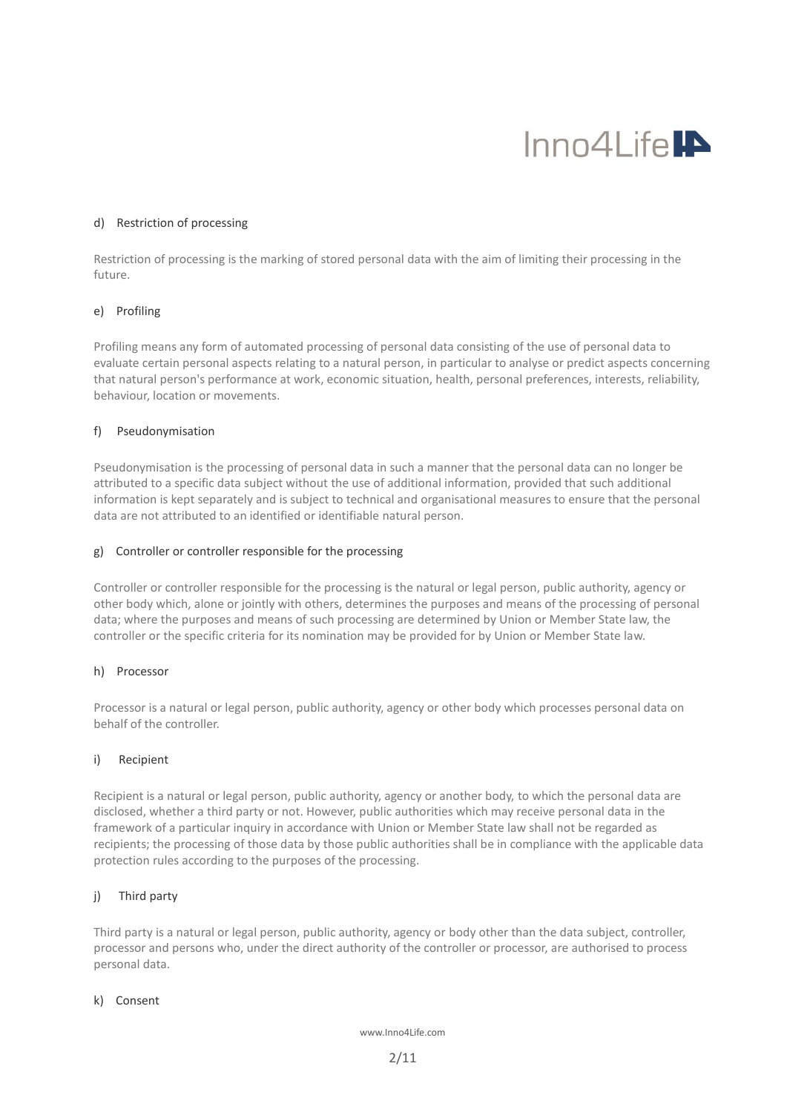#### d) Restriction of processing

Restriction of processing is the marking of stored personal data with the aim of limiting their processing in the future.

#### e) Profiling

Profiling means any form of automated processing of personal data consisting of the use of personal data to evaluate certain personal aspects relating to a natural person, in particular to analyse or predict aspects concerning that natural person's performance at work, economic situation, health, personal preferences, interests, reliability, behaviour, location or movements.

#### f) Pseudonymisation

Pseudonymisation is the processing of personal data in such a manner that the personal data can no longer be attributed to a specific data subject without the use of additional information, provided that such additional information is kept separately and is subject to technical and organisational measures to ensure that the personal data are not attributed to an identified or identifiable natural person.

#### g) Controller or controller responsible for the processing

Controller or controller responsible for the processing is the natural or legal person, public authority, agency or other body which, alone or jointly with others, determines the purposes and means of the processing of personal data; where the purposes and means of such processing are determined by Union or Member State law, the controller or the specific criteria for its nomination may be provided for by Union or Member State law.

#### h) Processor

Processor is a natural or legal person, public authority, agency or other body which processes personal data on behalf of the controller.

#### i) Recipient

Recipient is a natural or legal person, public authority, agency or another body, to which the personal data are disclosed, whether a third party or not. However, public authorities which may receive personal data in the framework of a particular inquiry in accordance with Union or Member State law shall not be regarded as recipients; the processing of those data by those public authorities shall be in compliance with the applicable data protection rules according to the purposes of the processing.

#### j) Third party

Third party is a natural or legal person, public authority, agency or body other than the data subject, controller, processor and persons who, under the direct authority of the controller or processor, are authorised to process personal data.

#### k) Consent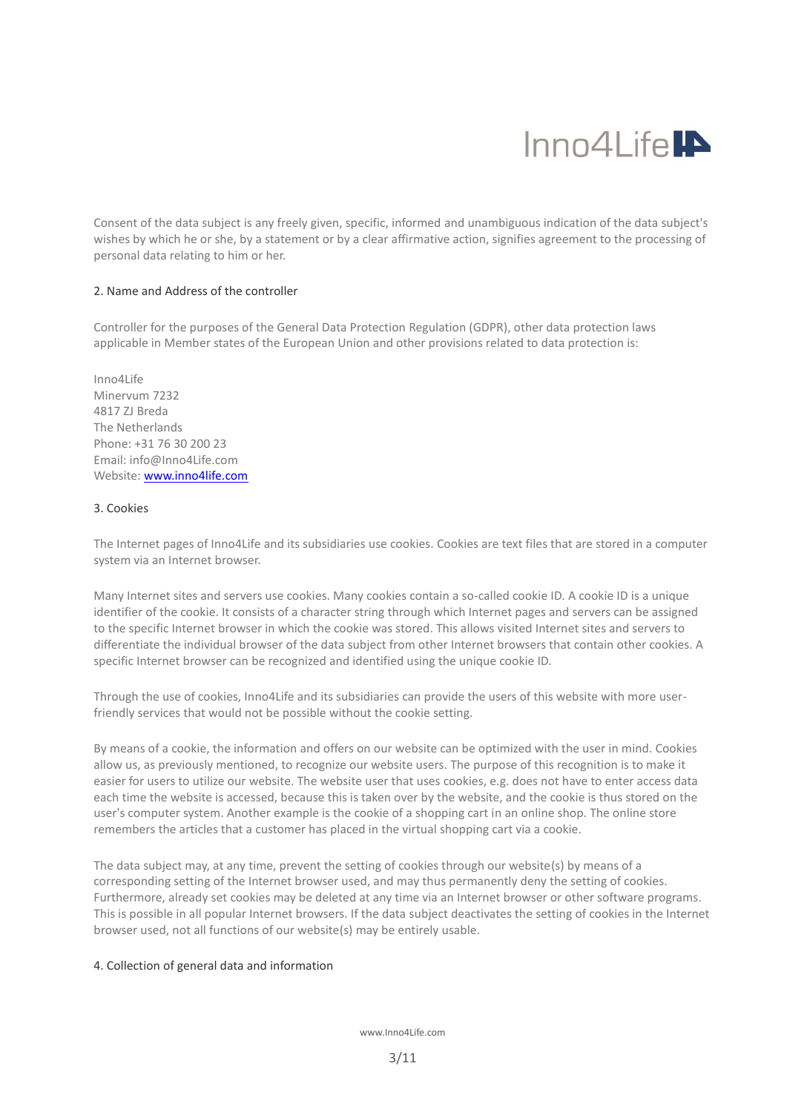Consent of the data subject is any freely given, specific, informed and unambiguous indication of the data subject's wishes by which he or she, by a statement or by a clear affirmative action, signifies agreement to the processing of personal data relating to him or her.

#### 2. Name and Address of the controller

Controller for the purposes of the General Data Protection Regulation (GDPR), other data protection laws applicable in Member states of the European Union and other provisions related to data protection is:

Inno4Life Minervum 7232 4817 ZJ Breda The Netherlands Phone: +31 76 30 200 23 Email: info@Inno4Life.com Website: [www.inno4life.com](http://www.inno4life.com/)

#### 3. Cookies

The Internet pages of Inno4Life and its subsidiaries use cookies. Cookies are text files that are stored in a computer system via an Internet browser.

Many Internet sites and servers use cookies. Many cookies contain a so-called cookie ID. A cookie ID is a unique identifier of the cookie. It consists of a character string through which Internet pages and servers can be assigned to the specific Internet browser in which the cookie was stored. This allows visited Internet sites and servers to differentiate the individual browser of the data subject from other Internet browsers that contain other cookies. A specific Internet browser can be recognized and identified using the unique cookie ID.

Through the use of cookies, Inno4Life and its subsidiaries can provide the users of this website with more userfriendly services that would not be possible without the cookie setting.

By means of a cookie, the information and offers on our website can be optimized with the user in mind. Cookies allow us, as previously mentioned, to recognize our website users. The purpose of this recognition is to make it easier for users to utilize our website. The website user that uses cookies, e.g. does not have to enter access data each time the website is accessed, because this is taken over by the website, and the cookie is thus stored on the user's computer system. Another example is the cookie of a shopping cart in an online shop. The online store remembers the articles that a customer has placed in the virtual shopping cart via a cookie.

The data subject may, at any time, prevent the setting of cookies through our website(s) by means of a corresponding setting of the Internet browser used, and may thus permanently deny the setting of cookies. Furthermore, already set cookies may be deleted at any time via an Internet browser or other software programs. This is possible in all popular Internet browsers. If the data subject deactivates the setting of cookies in the Internet browser used, not all functions of our website(s) may be entirely usable.

#### 4. Collection of general data and information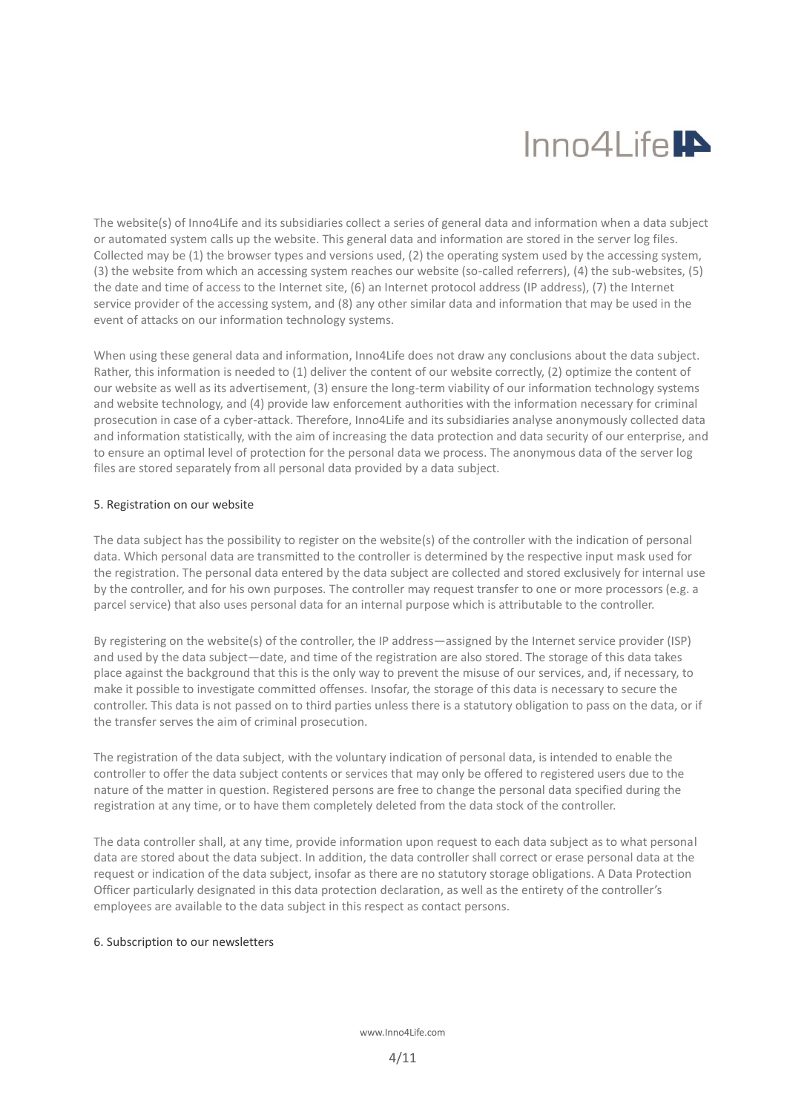The website(s) of Inno4Life and its subsidiaries collect a series of general data and information when a data subject or automated system calls up the website. This general data and information are stored in the server log files. Collected may be (1) the browser types and versions used, (2) the operating system used by the accessing system, (3) the website from which an accessing system reaches our website (so-called referrers), (4) the sub-websites, (5) the date and time of access to the Internet site, (6) an Internet protocol address (IP address), (7) the Internet service provider of the accessing system, and (8) any other similar data and information that may be used in the event of attacks on our information technology systems.

When using these general data and information, Inno4Life does not draw any conclusions about the data subject. Rather, this information is needed to (1) deliver the content of our website correctly, (2) optimize the content of our website as well as its advertisement, (3) ensure the long-term viability of our information technology systems and website technology, and (4) provide law enforcement authorities with the information necessary for criminal prosecution in case of a cyber-attack. Therefore, Inno4Life and its subsidiaries analyse anonymously collected data and information statistically, with the aim of increasing the data protection and data security of our enterprise, and to ensure an optimal level of protection for the personal data we process. The anonymous data of the server log files are stored separately from all personal data provided by a data subject.

### 5. Registration on our website

The data subject has the possibility to register on the website(s) of the controller with the indication of personal data. Which personal data are transmitted to the controller is determined by the respective input mask used for the registration. The personal data entered by the data subject are collected and stored exclusively for internal use by the controller, and for his own purposes. The controller may request transfer to one or more processors (e.g. a parcel service) that also uses personal data for an internal purpose which is attributable to the controller.

By registering on the website(s) of the controller, the IP address—assigned by the Internet service provider (ISP) and used by the data subject—date, and time of the registration are also stored. The storage of this data takes place against the background that this is the only way to prevent the misuse of our services, and, if necessary, to make it possible to investigate committed offenses. Insofar, the storage of this data is necessary to secure the controller. This data is not passed on to third parties unless there is a statutory obligation to pass on the data, or if the transfer serves the aim of criminal prosecution.

The registration of the data subject, with the voluntary indication of personal data, is intended to enable the controller to offer the data subject contents or services that may only be offered to registered users due to the nature of the matter in question. Registered persons are free to change the personal data specified during the registration at any time, or to have them completely deleted from the data stock of the controller.

The data controller shall, at any time, provide information upon request to each data subject as to what personal data are stored about the data subject. In addition, the data controller shall correct or erase personal data at the request or indication of the data subject, insofar as there are no statutory storage obligations. A Data Protection Officer particularly designated in this data protection declaration, as well as the entirety of the controller's employees are available to the data subject in this respect as contact persons.

#### 6. Subscription to our newsletters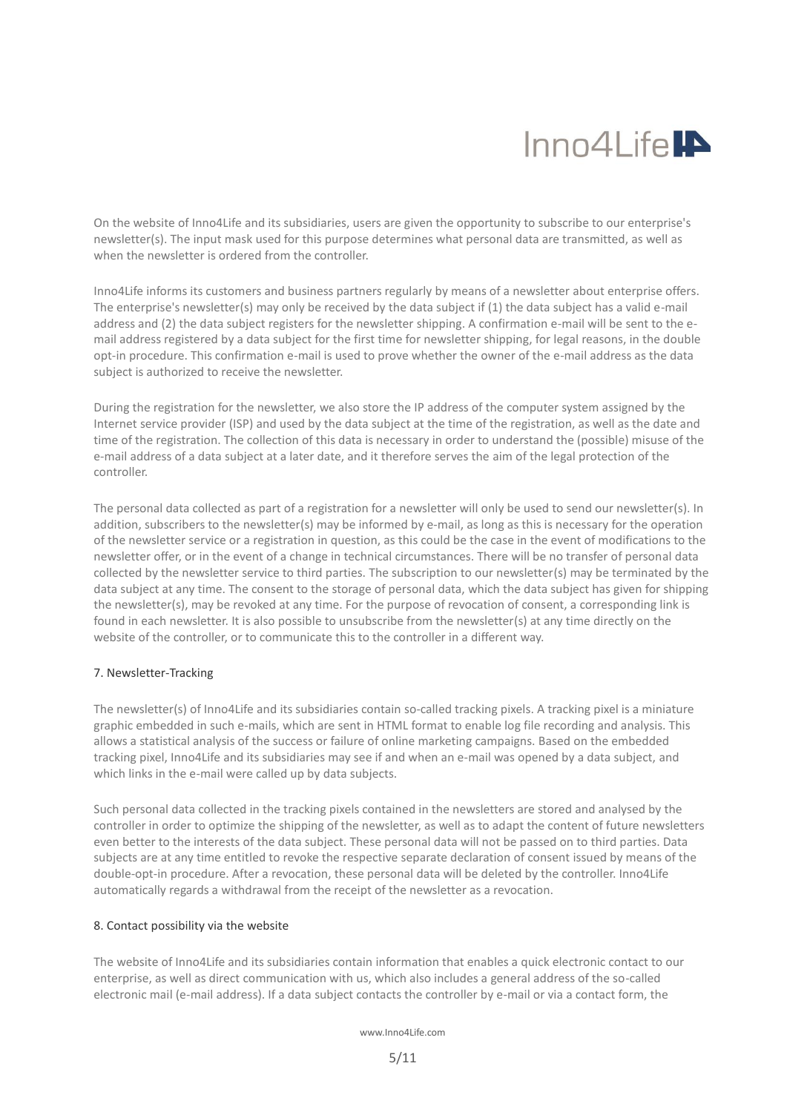On the website of Inno4Life and its subsidiaries, users are given the opportunity to subscribe to our enterprise's newsletter(s). The input mask used for this purpose determines what personal data are transmitted, as well as when the newsletter is ordered from the controller.

Inno4Life informs its customers and business partners regularly by means of a newsletter about enterprise offers. The enterprise's newsletter(s) may only be received by the data subject if (1) the data subject has a valid e-mail address and (2) the data subject registers for the newsletter shipping. A confirmation e-mail will be sent to the email address registered by a data subject for the first time for newsletter shipping, for legal reasons, in the double opt-in procedure. This confirmation e-mail is used to prove whether the owner of the e-mail address as the data subject is authorized to receive the newsletter.

During the registration for the newsletter, we also store the IP address of the computer system assigned by the Internet service provider (ISP) and used by the data subject at the time of the registration, as well as the date and time of the registration. The collection of this data is necessary in order to understand the (possible) misuse of the e-mail address of a data subject at a later date, and it therefore serves the aim of the legal protection of the controller.

The personal data collected as part of a registration for a newsletter will only be used to send our newsletter(s). In addition, subscribers to the newsletter(s) may be informed by e-mail, as long as this is necessary for the operation of the newsletter service or a registration in question, as this could be the case in the event of modifications to the newsletter offer, or in the event of a change in technical circumstances. There will be no transfer of personal data collected by the newsletter service to third parties. The subscription to our newsletter(s) may be terminated by the data subject at any time. The consent to the storage of personal data, which the data subject has given for shipping the newsletter(s), may be revoked at any time. For the purpose of revocation of consent, a corresponding link is found in each newsletter. It is also possible to unsubscribe from the newsletter(s) at any time directly on the website of the controller, or to communicate this to the controller in a different way.

## 7. Newsletter-Tracking

The newsletter(s) of Inno4Life and its subsidiaries contain so-called tracking pixels. A tracking pixel is a miniature graphic embedded in such e-mails, which are sent in HTML format to enable log file recording and analysis. This allows a statistical analysis of the success or failure of online marketing campaigns. Based on the embedded tracking pixel, Inno4Life and its subsidiaries may see if and when an e-mail was opened by a data subject, and which links in the e-mail were called up by data subjects.

Such personal data collected in the tracking pixels contained in the newsletters are stored and analysed by the controller in order to optimize the shipping of the newsletter, as well as to adapt the content of future newsletters even better to the interests of the data subject. These personal data will not be passed on to third parties. Data subjects are at any time entitled to revoke the respective separate declaration of consent issued by means of the double-opt-in procedure. After a revocation, these personal data will be deleted by the controller. Inno4Life automatically regards a withdrawal from the receipt of the newsletter as a revocation.

#### 8. Contact possibility via the website

The website of Inno4Life and its subsidiaries contain information that enables a quick electronic contact to our enterprise, as well as direct communication with us, which also includes a general address of the so-called electronic mail (e-mail address). If a data subject contacts the controller by e-mail or via a contact form, the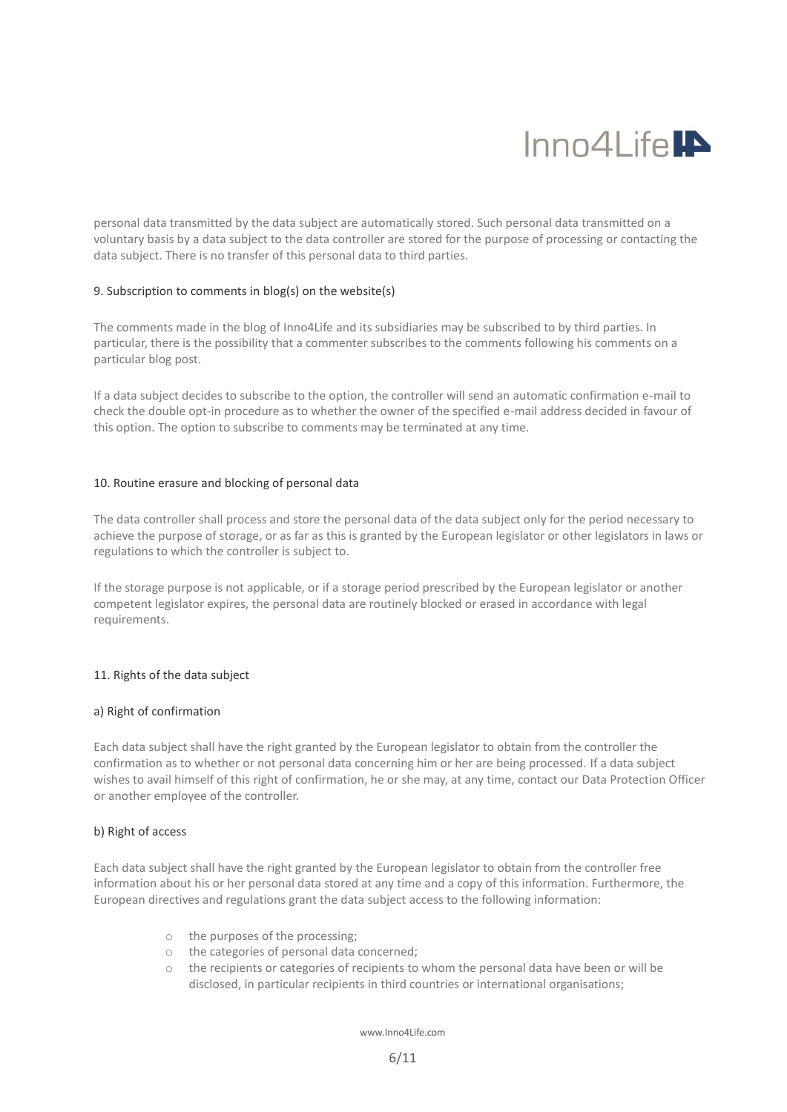personal data transmitted by the data subject are automatically stored. Such personal data transmitted on a voluntary basis by a data subject to the data controller are stored for the purpose of processing or contacting the data subject. There is no transfer of this personal data to third parties.

#### 9. Subscription to comments in blog(s) on the website(s)

The comments made in the blog of Inno4Life and its subsidiaries may be subscribed to by third parties. In particular, there is the possibility that a commenter subscribes to the comments following his comments on a particular blog post.

If a data subject decides to subscribe to the option, the controller will send an automatic confirmation e-mail to check the double opt-in procedure as to whether the owner of the specified e-mail address decided in favour of this option. The option to subscribe to comments may be terminated at any time.

#### 10. Routine erasure and blocking of personal data

The data controller shall process and store the personal data of the data subject only for the period necessary to achieve the purpose of storage, or as far as this is granted by the European legislator or other legislators in laws or regulations to which the controller is subject to.

If the storage purpose is not applicable, or if a storage period prescribed by the European legislator or another competent legislator expires, the personal data are routinely blocked or erased in accordance with legal requirements.

#### 11. Rights of the data subject

#### a) Right of confirmation

Each data subject shall have the right granted by the European legislator to obtain from the controller the confirmation as to whether or not personal data concerning him or her are being processed. If a data subject wishes to avail himself of this right of confirmation, he or she may, at any time, contact our Data Protection Officer or another employee of the controller.

#### b) Right of access

Each data subject shall have the right granted by the European legislator to obtain from the controller free information about his or her personal data stored at any time and a copy of this information. Furthermore, the European directives and regulations grant the data subject access to the following information:

- o the purposes of the processing;
- o the categories of personal data concerned;
- $\circ$  the recipients or categories of recipients to whom the personal data have been or will be disclosed, in particular recipients in third countries or international organisations;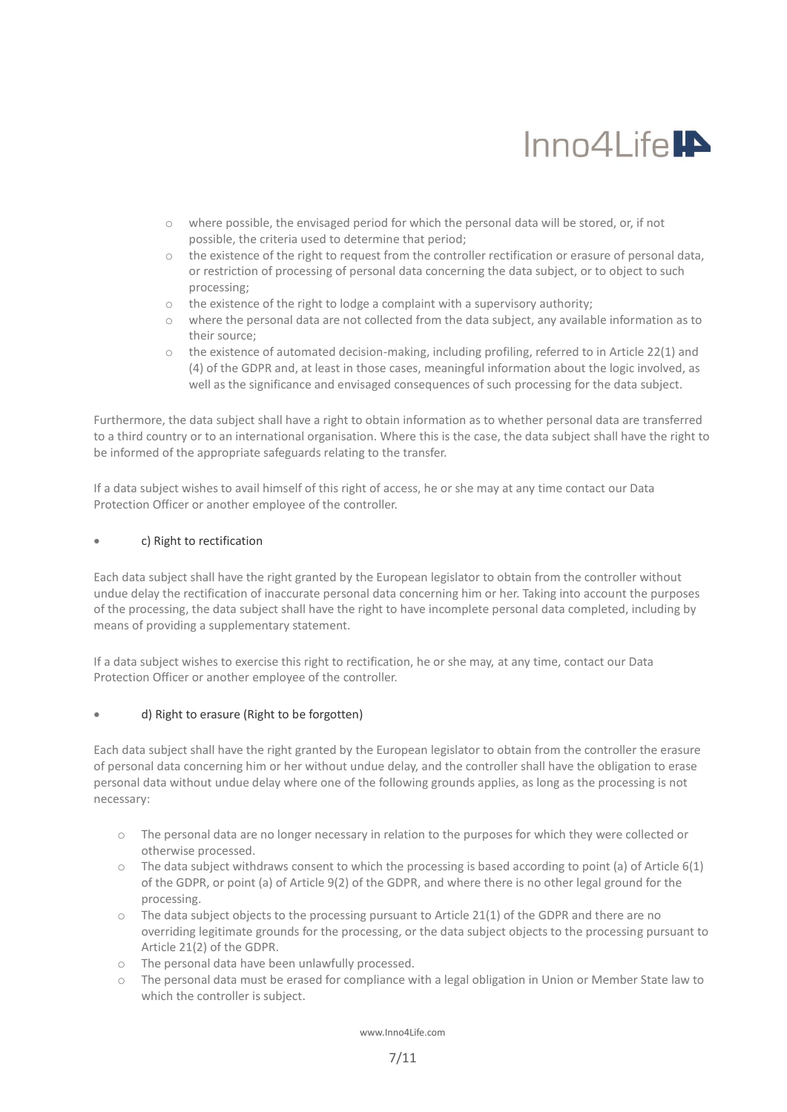- o where possible, the envisaged period for which the personal data will be stored, or, if not possible, the criteria used to determine that period;
- o the existence of the right to request from the controller rectification or erasure of personal data, or restriction of processing of personal data concerning the data subject, or to object to such processing;
- o the existence of the right to lodge a complaint with a supervisory authority;
- o where the personal data are not collected from the data subject, any available information as to their source;
- o the existence of automated decision-making, including profiling, referred to in Article 22(1) and (4) of the GDPR and, at least in those cases, meaningful information about the logic involved, as well as the significance and envisaged consequences of such processing for the data subject.

Furthermore, the data subject shall have a right to obtain information as to whether personal data are transferred to a third country or to an international organisation. Where this is the case, the data subject shall have the right to be informed of the appropriate safeguards relating to the transfer.

If a data subject wishes to avail himself of this right of access, he or she may at any time contact our Data Protection Officer or another employee of the controller.

## c) Right to rectification

Each data subject shall have the right granted by the European legislator to obtain from the controller without undue delay the rectification of inaccurate personal data concerning him or her. Taking into account the purposes of the processing, the data subject shall have the right to have incomplete personal data completed, including by means of providing a supplementary statement.

If a data subject wishes to exercise this right to rectification, he or she may, at any time, contact our Data Protection Officer or another employee of the controller.

## d) Right to erasure (Right to be forgotten)

Each data subject shall have the right granted by the European legislator to obtain from the controller the erasure of personal data concerning him or her without undue delay, and the controller shall have the obligation to erase personal data without undue delay where one of the following grounds applies, as long as the processing is not necessary:

- o The personal data are no longer necessary in relation to the purposes for which they were collected or otherwise processed.
- $\circ$  The data subject withdraws consent to which the processing is based according to point (a) of Article 6(1) of the GDPR, or point (a) of Article 9(2) of the GDPR, and where there is no other legal ground for the processing.
- $\circ$  The data subject objects to the processing pursuant to Article 21(1) of the GDPR and there are no overriding legitimate grounds for the processing, or the data subject objects to the processing pursuant to Article 21(2) of the GDPR.
- o The personal data have been unlawfully processed.
- o The personal data must be erased for compliance with a legal obligation in Union or Member State law to which the controller is subject.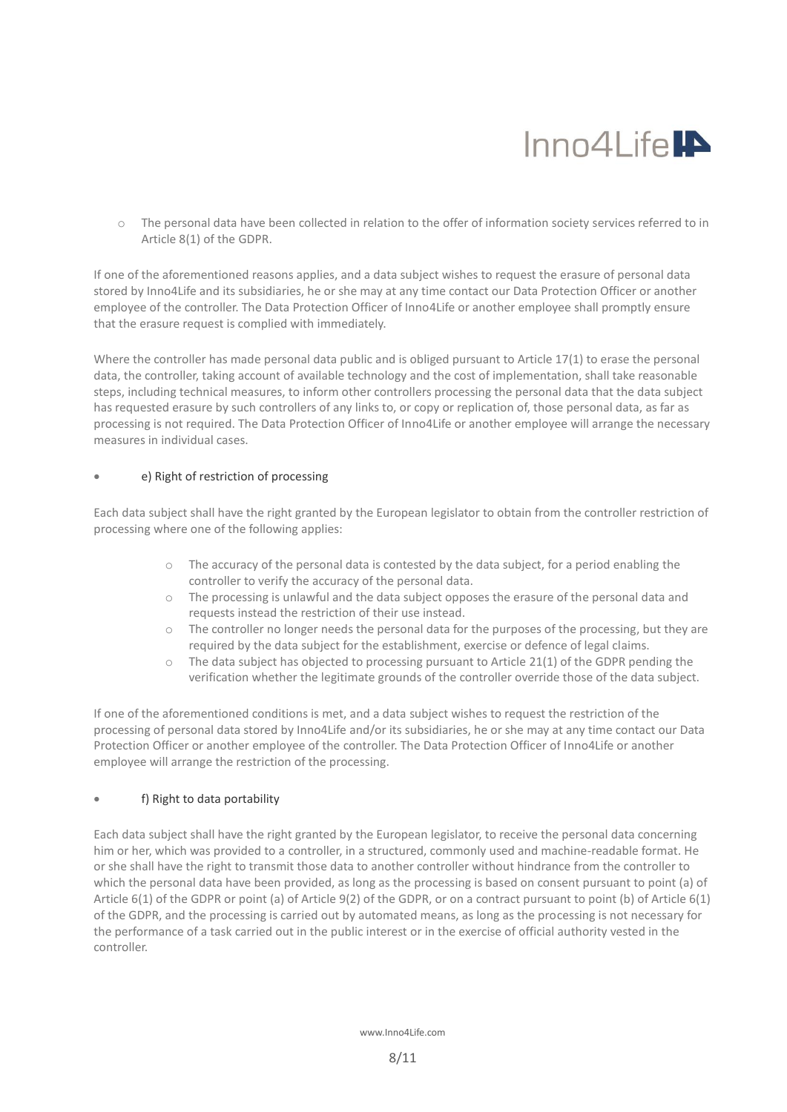o The personal data have been collected in relation to the offer of information society services referred to in Article 8(1) of the GDPR.

If one of the aforementioned reasons applies, and a data subject wishes to request the erasure of personal data stored by Inno4Life and its subsidiaries, he or she may at any time contact our Data Protection Officer or another employee of the controller. The Data Protection Officer of Inno4Life or another employee shall promptly ensure that the erasure request is complied with immediately.

Where the controller has made personal data public and is obliged pursuant to Article 17(1) to erase the personal data, the controller, taking account of available technology and the cost of implementation, shall take reasonable steps, including technical measures, to inform other controllers processing the personal data that the data subject has requested erasure by such controllers of any links to, or copy or replication of, those personal data, as far as processing is not required. The Data Protection Officer of Inno4Life or another employee will arrange the necessary measures in individual cases.

### e) Right of restriction of processing

Each data subject shall have the right granted by the European legislator to obtain from the controller restriction of processing where one of the following applies:

- o The accuracy of the personal data is contested by the data subject, for a period enabling the controller to verify the accuracy of the personal data.
- $\circ$  The processing is unlawful and the data subject opposes the erasure of the personal data and requests instead the restriction of their use instead.
- o The controller no longer needs the personal data for the purposes of the processing, but they are required by the data subject for the establishment, exercise or defence of legal claims.
- $\circ$  The data subject has objected to processing pursuant to Article 21(1) of the GDPR pending the verification whether the legitimate grounds of the controller override those of the data subject.

If one of the aforementioned conditions is met, and a data subject wishes to request the restriction of the processing of personal data stored by Inno4Life and/or its subsidiaries, he or she may at any time contact our Data Protection Officer or another employee of the controller. The Data Protection Officer of Inno4Life or another employee will arrange the restriction of the processing.

## f) Right to data portability

Each data subject shall have the right granted by the European legislator, to receive the personal data concerning him or her, which was provided to a controller, in a structured, commonly used and machine-readable format. He or she shall have the right to transmit those data to another controller without hindrance from the controller to which the personal data have been provided, as long as the processing is based on consent pursuant to point (a) of Article 6(1) of the GDPR or point (a) of Article 9(2) of the GDPR, or on a contract pursuant to point (b) of Article 6(1) of the GDPR, and the processing is carried out by automated means, as long as the processing is not necessary for the performance of a task carried out in the public interest or in the exercise of official authority vested in the controller.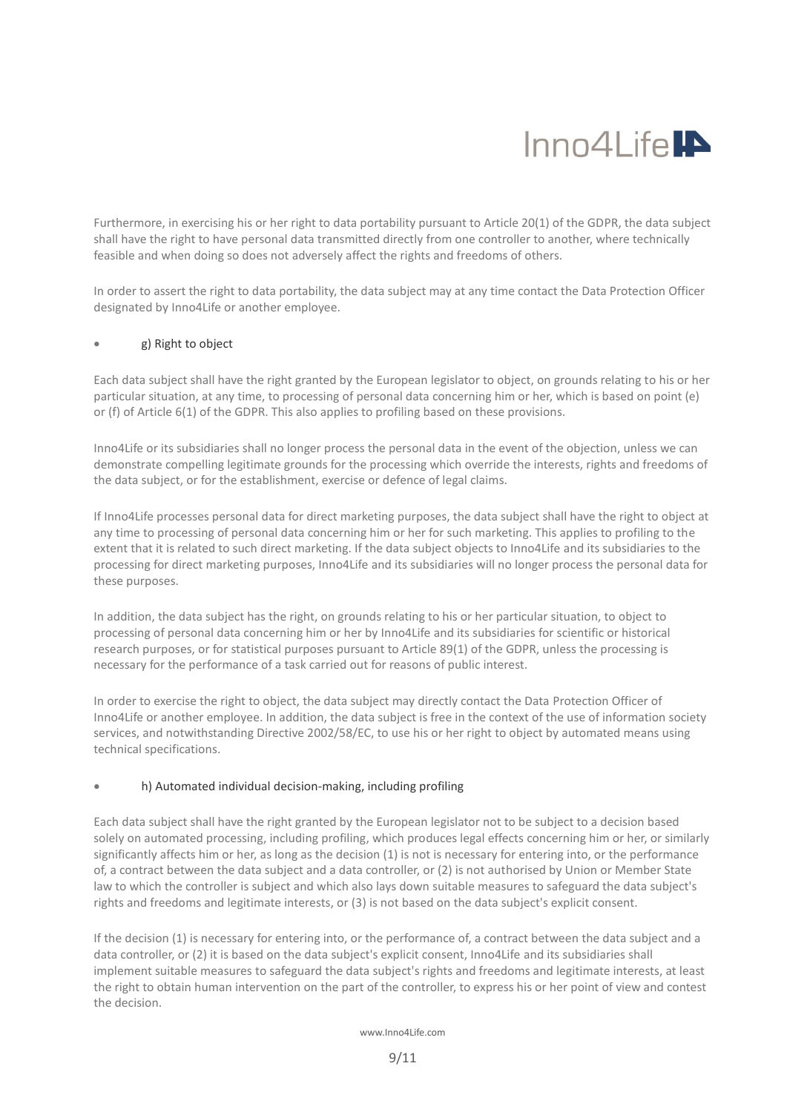Furthermore, in exercising his or her right to data portability pursuant to Article 20(1) of the GDPR, the data subject shall have the right to have personal data transmitted directly from one controller to another, where technically feasible and when doing so does not adversely affect the rights and freedoms of others.

In order to assert the right to data portability, the data subject may at any time contact the Data Protection Officer designated by Inno4Life or another employee.

### g) Right to object

Each data subject shall have the right granted by the European legislator to object, on grounds relating to his or her particular situation, at any time, to processing of personal data concerning him or her, which is based on point (e) or (f) of Article 6(1) of the GDPR. This also applies to profiling based on these provisions.

Inno4Life or its subsidiaries shall no longer process the personal data in the event of the objection, unless we can demonstrate compelling legitimate grounds for the processing which override the interests, rights and freedoms of the data subject, or for the establishment, exercise or defence of legal claims.

If Inno4Life processes personal data for direct marketing purposes, the data subject shall have the right to object at any time to processing of personal data concerning him or her for such marketing. This applies to profiling to the extent that it is related to such direct marketing. If the data subject objects to Inno4Life and its subsidiaries to the processing for direct marketing purposes, Inno4Life and its subsidiaries will no longer process the personal data for these purposes.

In addition, the data subject has the right, on grounds relating to his or her particular situation, to object to processing of personal data concerning him or her by Inno4Life and its subsidiaries for scientific or historical research purposes, or for statistical purposes pursuant to Article 89(1) of the GDPR, unless the processing is necessary for the performance of a task carried out for reasons of public interest.

In order to exercise the right to object, the data subject may directly contact the Data Protection Officer of Inno4Life or another employee. In addition, the data subject is free in the context of the use of information society services, and notwithstanding Directive 2002/58/EC, to use his or her right to object by automated means using technical specifications.

#### h) Automated individual decision-making, including profiling

Each data subject shall have the right granted by the European legislator not to be subject to a decision based solely on automated processing, including profiling, which produces legal effects concerning him or her, or similarly significantly affects him or her, as long as the decision (1) is not is necessary for entering into, or the performance of, a contract between the data subject and a data controller, or (2) is not authorised by Union or Member State law to which the controller is subject and which also lays down suitable measures to safeguard the data subject's rights and freedoms and legitimate interests, or (3) is not based on the data subject's explicit consent.

If the decision (1) is necessary for entering into, or the performance of, a contract between the data subject and a data controller, or (2) it is based on the data subject's explicit consent, Inno4Life and its subsidiaries shall implement suitable measures to safeguard the data subject's rights and freedoms and legitimate interests, at least the right to obtain human intervention on the part of the controller, to express his or her point of view and contest the decision.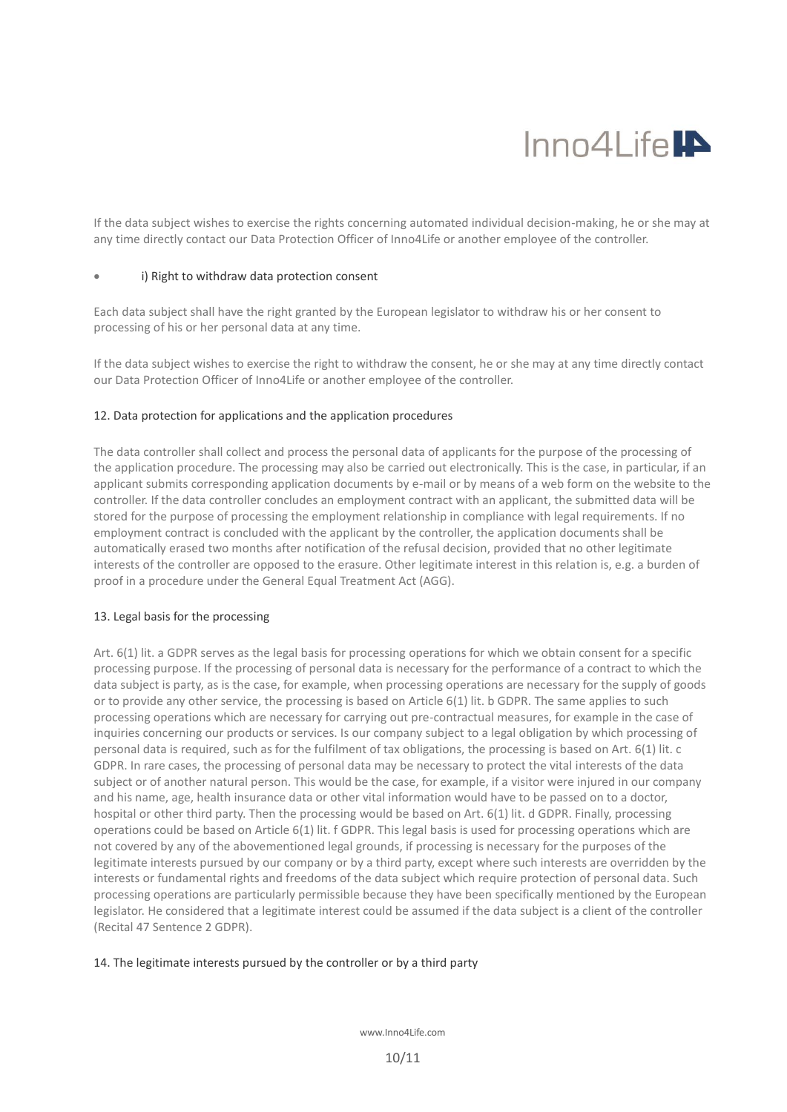If the data subject wishes to exercise the rights concerning automated individual decision-making, he or she may at any time directly contact our Data Protection Officer of Inno4Life or another employee of the controller.

#### i) Right to withdraw data protection consent

Each data subject shall have the right granted by the European legislator to withdraw his or her consent to processing of his or her personal data at any time.

If the data subject wishes to exercise the right to withdraw the consent, he or she may at any time directly contact our Data Protection Officer of Inno4Life or another employee of the controller.

#### 12. Data protection for applications and the application procedures

The data controller shall collect and process the personal data of applicants for the purpose of the processing of the application procedure. The processing may also be carried out electronically. This is the case, in particular, if an applicant submits corresponding application documents by e-mail or by means of a web form on the website to the controller. If the data controller concludes an employment contract with an applicant, the submitted data will be stored for the purpose of processing the employment relationship in compliance with legal requirements. If no employment contract is concluded with the applicant by the controller, the application documents shall be automatically erased two months after notification of the refusal decision, provided that no other legitimate interests of the controller are opposed to the erasure. Other legitimate interest in this relation is, e.g. a burden of proof in a procedure under the General Equal Treatment Act (AGG).

#### 13. Legal basis for the processing

Art. 6(1) lit. a GDPR serves as the legal basis for processing operations for which we obtain consent for a specific processing purpose. If the processing of personal data is necessary for the performance of a contract to which the data subject is party, as is the case, for example, when processing operations are necessary for the supply of goods or to provide any other service, the processing is based on Article 6(1) lit. b GDPR. The same applies to such processing operations which are necessary for carrying out pre-contractual measures, for example in the case of inquiries concerning our products or services. Is our company subject to a legal obligation by which processing of personal data is required, such as for the fulfilment of tax obligations, the processing is based on Art. 6(1) lit. c GDPR. In rare cases, the processing of personal data may be necessary to protect the vital interests of the data subject or of another natural person. This would be the case, for example, if a visitor were injured in our company and his name, age, health insurance data or other vital information would have to be passed on to a doctor, hospital or other third party. Then the processing would be based on Art. 6(1) lit. d GDPR. Finally, processing operations could be based on Article 6(1) lit. f GDPR. This legal basis is used for processing operations which are not covered by any of the abovementioned legal grounds, if processing is necessary for the purposes of the legitimate interests pursued by our company or by a third party, except where such interests are overridden by the interests or fundamental rights and freedoms of the data subject which require protection of personal data. Such processing operations are particularly permissible because they have been specifically mentioned by the European legislator. He considered that a legitimate interest could be assumed if the data subject is a client of the controller (Recital 47 Sentence 2 GDPR).

#### 14. The legitimate interests pursued by the controller or by a third party